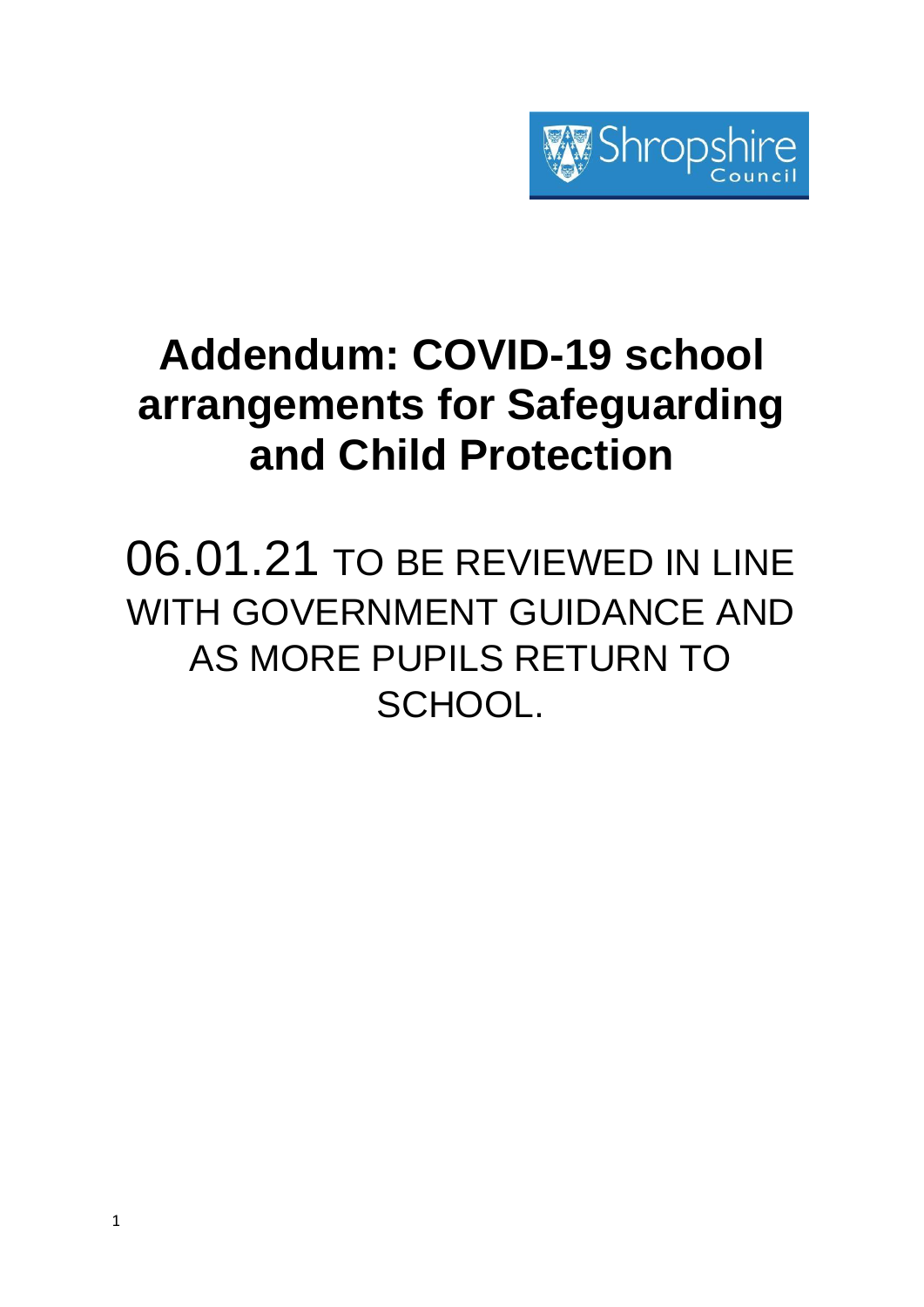

# **Addendum: COVID-19 school arrangements for Safeguarding and Child Protection**

06.01.21 TO BE REVIEWED IN LINE WITH GOVERNMENT GUIDANCE AND AS MORE PUPILS RETURN TO SCHOOL.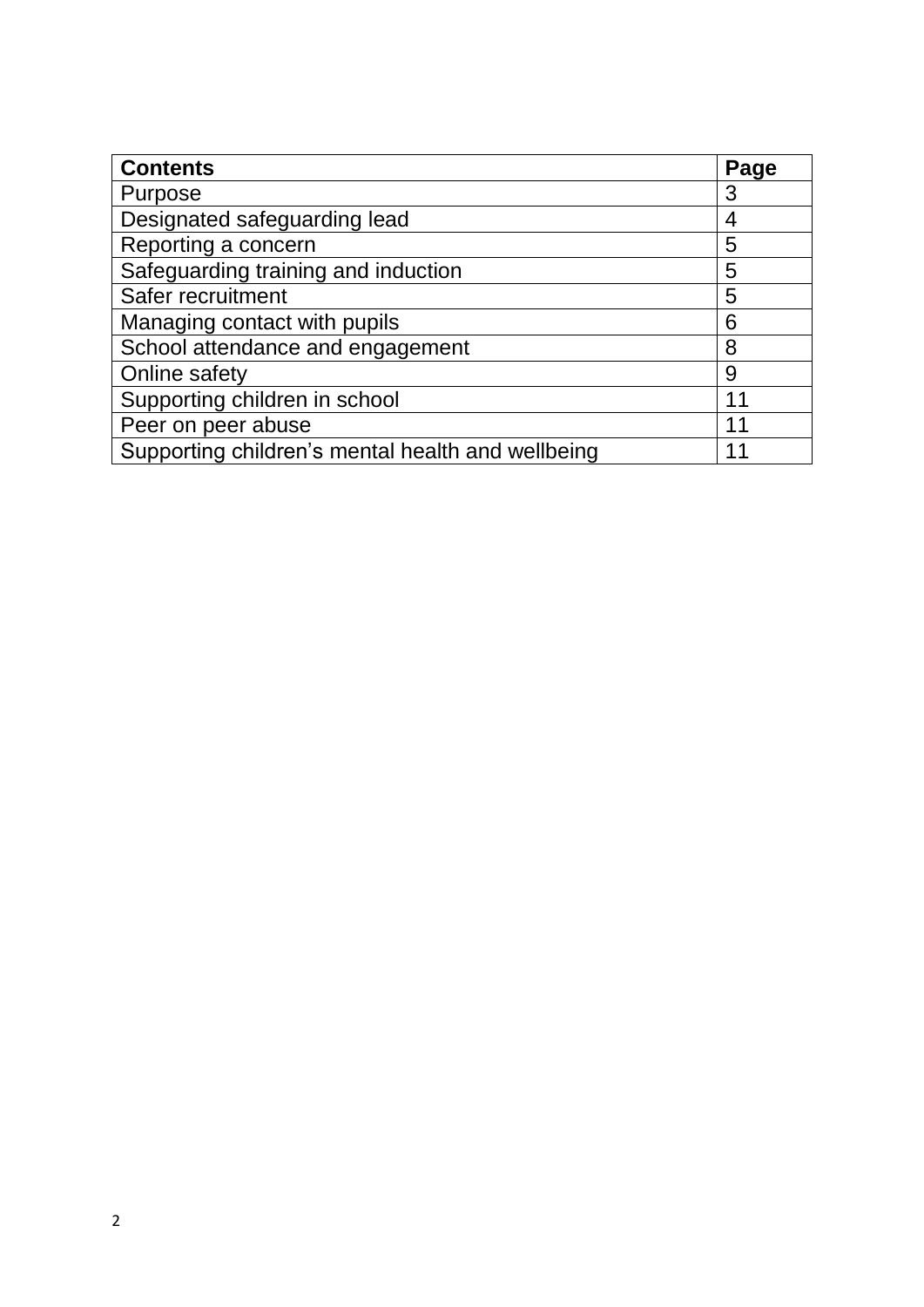| <b>Contents</b>                                   | Page |
|---------------------------------------------------|------|
| Purpose                                           | 3    |
| Designated safeguarding lead                      | 4    |
| Reporting a concern                               | 5    |
| Safeguarding training and induction               | 5    |
| Safer recruitment                                 | 5    |
| Managing contact with pupils                      | 6    |
| School attendance and engagement                  | 8    |
| Online safety                                     | 9    |
| Supporting children in school                     | 1    |
| Peer on peer abuse                                | 11   |
| Supporting children's mental health and wellbeing |      |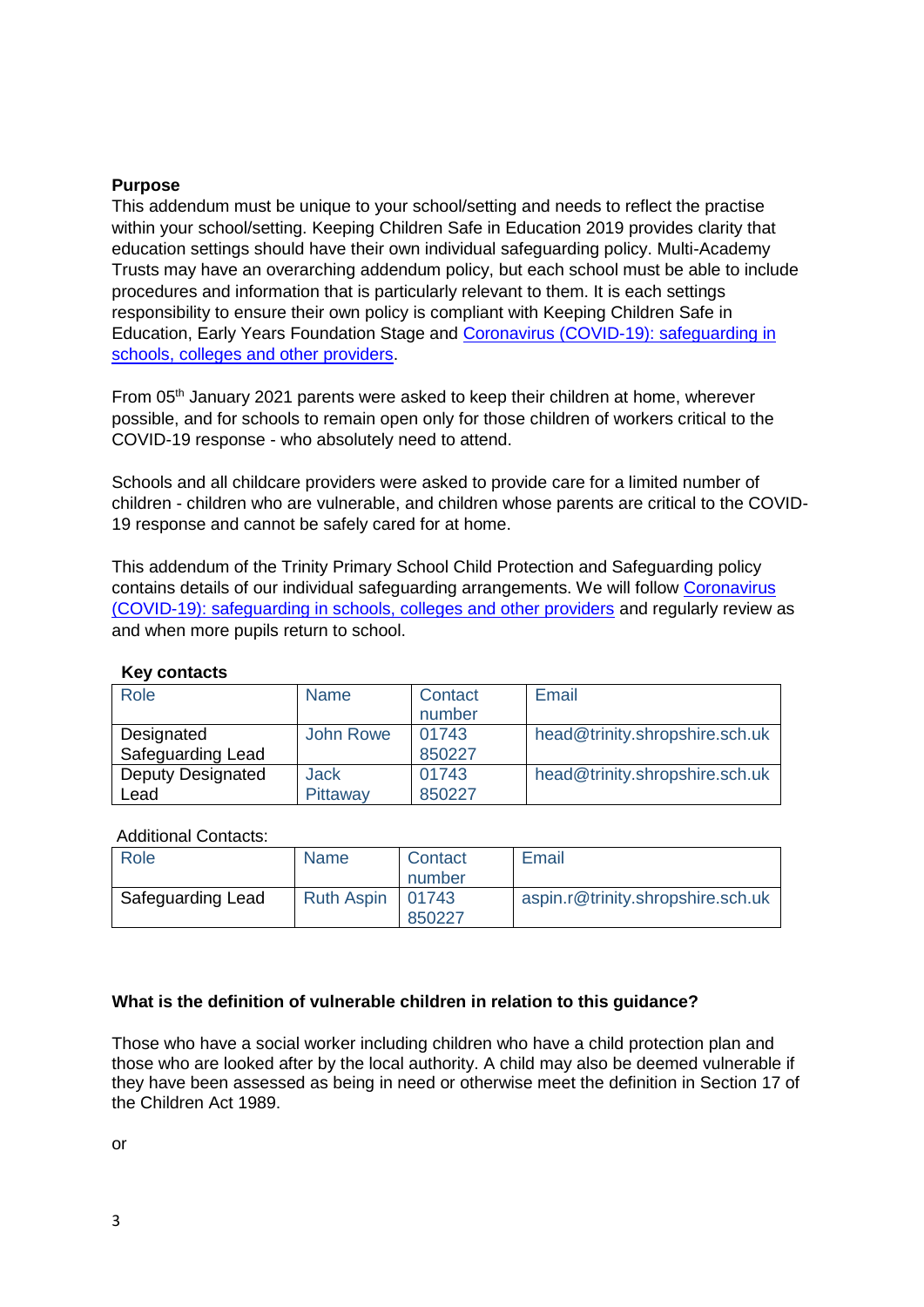# **Purpose**

This addendum must be unique to your school/setting and needs to reflect the practise within your school/setting. Keeping Children Safe in Education 2019 provides clarity that education settings should have their own individual safeguarding policy. Multi-Academy Trusts may have an overarching addendum policy, but each school must be able to include procedures and information that is particularly relevant to them. It is each settings responsibility to ensure their own policy is compliant with Keeping Children Safe in Education, Early Years Foundation Stage and [Coronavirus \(COVID-19\): safeguarding in](https://www.gov.uk/government/publications/covid-19-safeguarding-in-schools-colleges-and-other-providers/coronavirus-covid-19-safeguarding-in-schools-colleges-and-other-providers#staff-training-and-safeguarding-induction)  [schools, colleges and other providers.](https://www.gov.uk/government/publications/covid-19-safeguarding-in-schools-colleges-and-other-providers/coronavirus-covid-19-safeguarding-in-schools-colleges-and-other-providers#staff-training-and-safeguarding-induction)

From 05th January 2021 parents were asked to keep their children at home, wherever possible, and for schools to remain open only for those children of workers critical to the COVID-19 response - who absolutely need to attend.

Schools and all childcare providers were asked to provide care for a limited number of children - children who are vulnerable, and children whose parents are critical to the COVID-19 response and cannot be safely cared for at home.

This addendum of the Trinity Primary School Child Protection and Safeguarding policy contains details of our individual safeguarding arrangements. We will follow [Coronavirus](https://www.gov.uk/government/publications/covid-19-safeguarding-in-schools-colleges-and-other-providers/coronavirus-covid-19-safeguarding-in-schools-colleges-and-other-providers#staff-training-and-safeguarding-induction)  [\(COVID-19\): safeguarding in schools, colleges and other providers](https://www.gov.uk/government/publications/covid-19-safeguarding-in-schools-colleges-and-other-providers/coronavirus-covid-19-safeguarding-in-schools-colleges-and-other-providers#staff-training-and-safeguarding-induction) and regularly review as and when more pupils return to school.

| Role                     | <b>Name</b> | Contact | Email                          |
|--------------------------|-------------|---------|--------------------------------|
|                          |             | number  |                                |
| Designated               | John Rowe   | 01743   | head@trinity.shropshire.sch.uk |
| Safeguarding Lead        |             | 850227  |                                |
| <b>Deputy Designated</b> | <b>Jack</b> | 01743   | head@trinity.shropshire.sch.uk |
| Lead                     | Pittaway    | 850227  |                                |

# **Key contacts**

#### Additional Contacts:

| Role              | <b>Name</b>        | Contact<br>number | Email                             |
|-------------------|--------------------|-------------------|-----------------------------------|
| Safeguarding Lead | Ruth Aspin   01743 | 850227            | aspin.r@trinity.shropshire.sch.uk |

# **What is the definition of vulnerable children in relation to this guidance?**

Those who have a social worker including children who have a child protection plan and those who are looked after by the local authority. A child may also be deemed vulnerable if they have been assessed as being in need or otherwise meet the definition in Section 17 of the Children Act 1989.

or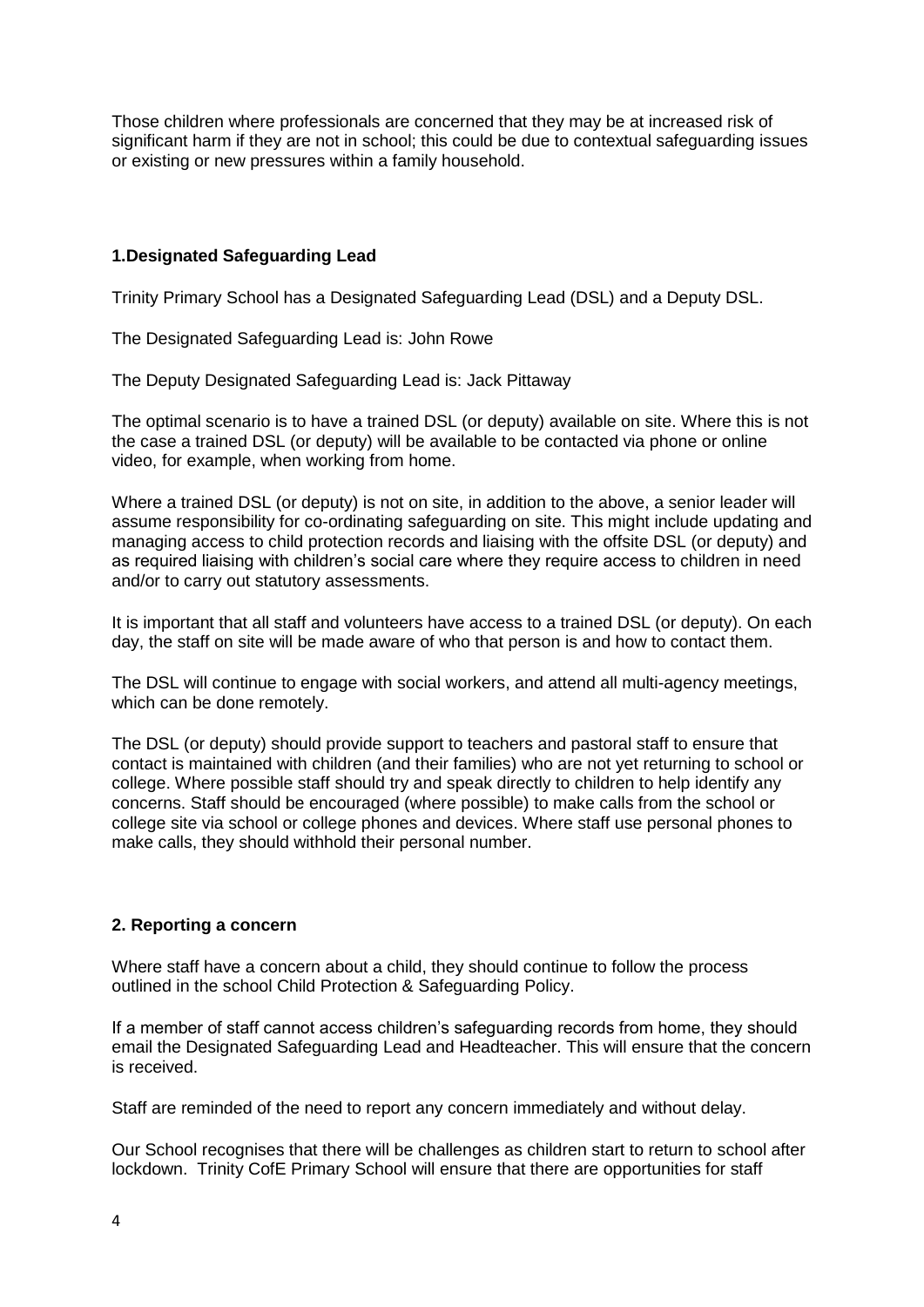Those children where professionals are concerned that they may be at increased risk of significant harm if they are not in school; this could be due to contextual safeguarding issues or existing or new pressures within a family household.

# **1.Designated Safeguarding Lead**

Trinity Primary School has a Designated Safeguarding Lead (DSL) and a Deputy DSL.

The Designated Safeguarding Lead is: John Rowe

The Deputy Designated Safeguarding Lead is: Jack Pittaway

The optimal scenario is to have a trained DSL (or deputy) available on site. Where this is not the case a trained DSL (or deputy) will be available to be contacted via phone or online video, for example, when working from home.

Where a trained DSL (or deputy) is not on site, in addition to the above, a senior leader will assume responsibility for co-ordinating safeguarding on site. This might include updating and managing access to child protection records and liaising with the offsite DSL (or deputy) and as required liaising with children's social care where they require access to children in need and/or to carry out statutory assessments.

It is important that all staff and volunteers have access to a trained DSL (or deputy). On each day, the staff on site will be made aware of who that person is and how to contact them.

The DSL will continue to engage with social workers, and attend all multi-agency meetings, which can be done remotely.

The DSL (or deputy) should provide support to teachers and pastoral staff to ensure that contact is maintained with children (and their families) who are not yet returning to school or college. Where possible staff should try and speak directly to children to help identify any concerns. Staff should be encouraged (where possible) to make calls from the school or college site via school or college phones and devices. Where staff use personal phones to make calls, they should withhold their personal number.

# **2. Reporting a concern**

Where staff have a concern about a child, they should continue to follow the process outlined in the school Child Protection & Safeguarding Policy.

If a member of staff cannot access children's safeguarding records from home, they should email the Designated Safeguarding Lead and Headteacher. This will ensure that the concern is received.

Staff are reminded of the need to report any concern immediately and without delay.

Our School recognises that there will be challenges as children start to return to school after lockdown. Trinity CofE Primary School will ensure that there are opportunities for staff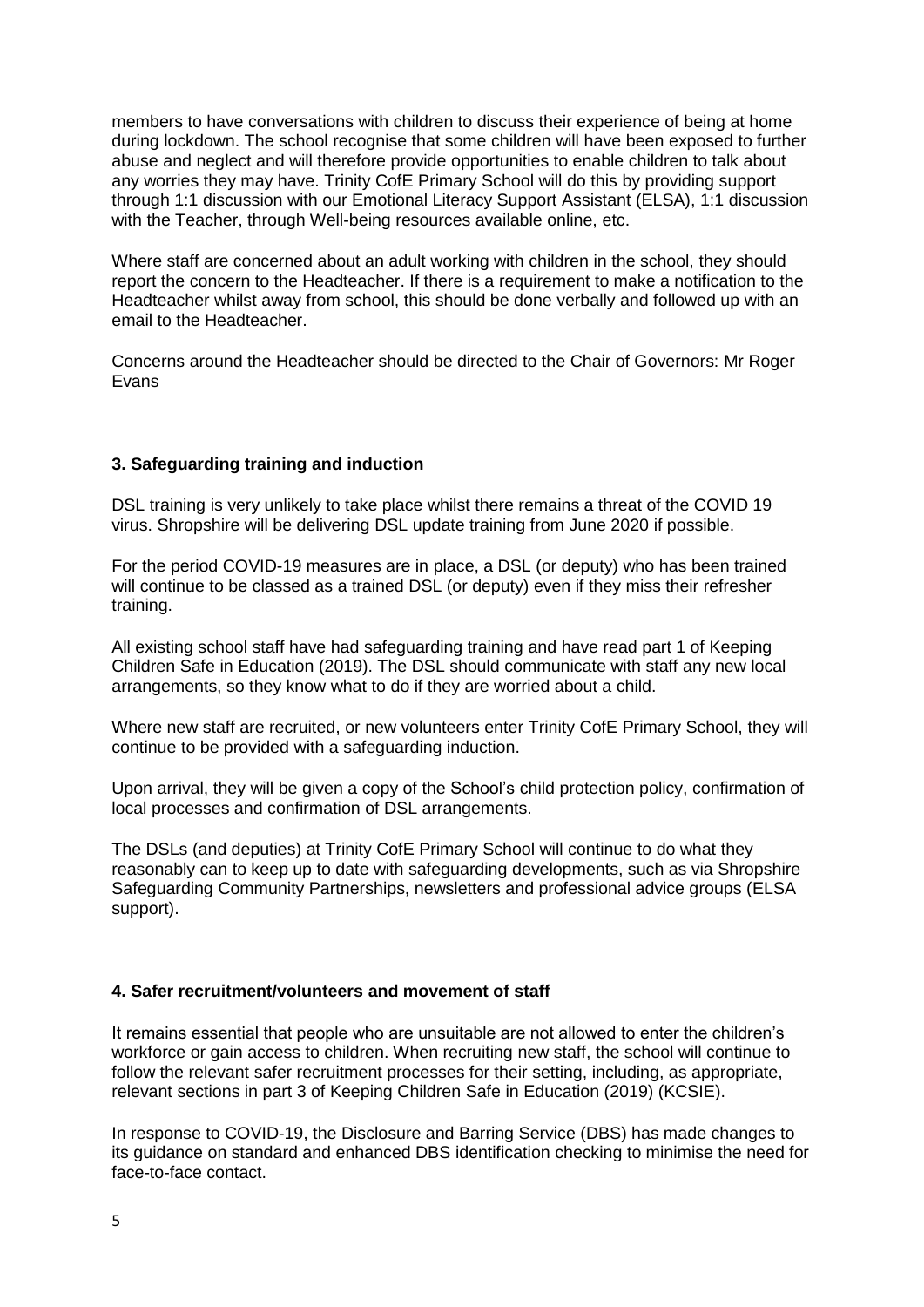members to have conversations with children to discuss their experience of being at home during lockdown. The school recognise that some children will have been exposed to further abuse and neglect and will therefore provide opportunities to enable children to talk about any worries they may have. Trinity CofE Primary School will do this by providing support through 1:1 discussion with our Emotional Literacy Support Assistant (ELSA), 1:1 discussion with the Teacher, through Well-being resources available online, etc.

Where staff are concerned about an adult working with children in the school, they should report the concern to the Headteacher. If there is a requirement to make a notification to the Headteacher whilst away from school, this should be done verbally and followed up with an email to the Headteacher.

Concerns around the Headteacher should be directed to the Chair of Governors: Mr Roger Evans

# **3. Safeguarding training and induction**

DSL training is very unlikely to take place whilst there remains a threat of the COVID 19 virus. Shropshire will be delivering DSL update training from June 2020 if possible.

For the period COVID-19 measures are in place, a DSL (or deputy) who has been trained will continue to be classed as a trained DSL (or deputy) even if they miss their refresher training.

All existing school staff have had safeguarding training and have read part 1 of Keeping Children Safe in Education (2019). The DSL should communicate with staff any new local arrangements, so they know what to do if they are worried about a child.

Where new staff are recruited, or new volunteers enter Trinity CofE Primary School, they will continue to be provided with a safeguarding induction.

Upon arrival, they will be given a copy of the School's child protection policy, confirmation of local processes and confirmation of DSL arrangements.

The DSLs (and deputies) at Trinity CofE Primary School will continue to do what they reasonably can to keep up to date with safeguarding developments, such as via Shropshire Safeguarding Community Partnerships, newsletters and professional advice groups (ELSA support).

# **4. Safer recruitment/volunteers and movement of staff**

It remains essential that people who are unsuitable are not allowed to enter the children's workforce or gain access to children. When recruiting new staff, the school will continue to follow the relevant safer recruitment processes for their setting, including, as appropriate, relevant sections in part 3 of Keeping Children Safe in Education (2019) (KCSIE).

In response to COVID-19, the Disclosure and Barring Service (DBS) has made changes to its guidance on standard and enhanced DBS identification checking to minimise the need for face-to-face contact.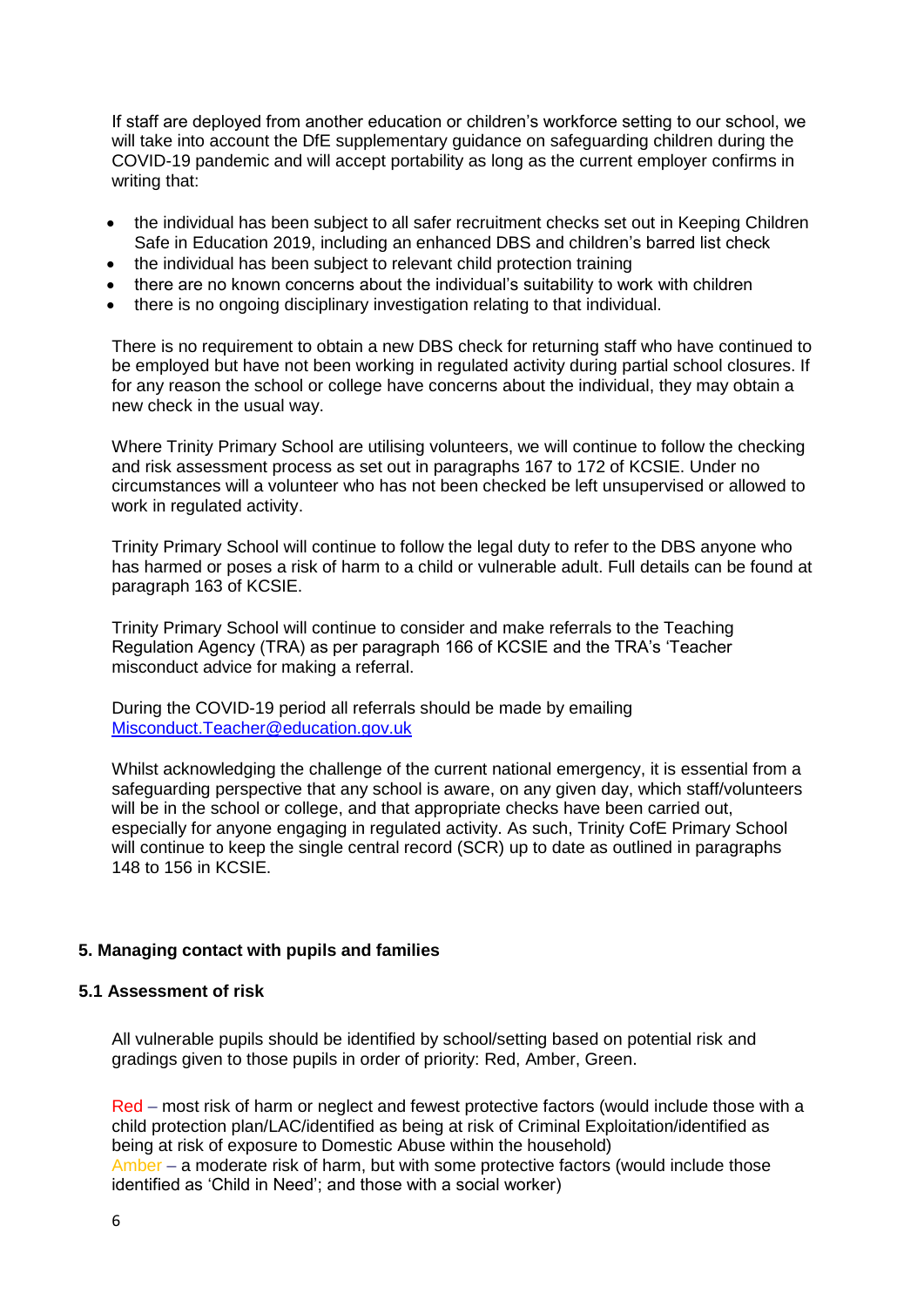If staff are deployed from another education or children's workforce setting to our school, we will take into account the DfE supplementary guidance on safeguarding children during the COVID-19 pandemic and will accept portability as long as the current employer confirms in writing that:

- the individual has been subject to all safer recruitment checks set out in Keeping Children Safe in Education 2019, including an enhanced DBS and children's barred list check
- the individual has been subject to relevant child protection training
- there are no known concerns about the individual's suitability to work with children
- there is no ongoing disciplinary investigation relating to that individual.

There is no requirement to obtain a new DBS check for returning staff who have continued to be employed but have not been working in regulated activity during partial school closures. If for any reason the school or college have concerns about the individual, they may obtain a new check in the usual way.

Where Trinity Primary School are utilising volunteers, we will continue to follow the checking and risk assessment process as set out in paragraphs 167 to 172 of KCSIE. Under no circumstances will a volunteer who has not been checked be left unsupervised or allowed to work in regulated activity.

Trinity Primary School will continue to follow the legal duty to refer to the DBS anyone who has harmed or poses a risk of harm to a child or vulnerable adult. Full details can be found at paragraph 163 of KCSIE.

Trinity Primary School will continue to consider and make referrals to the Teaching Regulation Agency (TRA) as per paragraph 166 of KCSIE and the TRA's 'Teacher misconduct advice for making a referral.

During the COVID-19 period all referrals should be made by emailing [Misconduct.Teacher@education.gov.uk](mailto:Misconduct.Teacher@education.gov.uk)

Whilst acknowledging the challenge of the current national emergency, it is essential from a safeguarding perspective that any school is aware, on any given day, which staff/volunteers will be in the school or college, and that appropriate checks have been carried out, especially for anyone engaging in regulated activity. As such, Trinity CofE Primary School will continue to keep the single central record (SCR) up to date as outlined in paragraphs 148 to 156 in KCSIE.

# **5. Managing contact with pupils and families**

#### **5.1 Assessment of risk**

All vulnerable pupils should be identified by school/setting based on potential risk and gradings given to those pupils in order of priority: Red, Amber, Green.

Red – most risk of harm or neglect and fewest protective factors (would include those with a child protection plan/LAC/identified as being at risk of Criminal Exploitation/identified as being at risk of exposure to Domestic Abuse within the household) Amber – a moderate risk of harm, but with some protective factors (would include those identified as 'Child in Need'; and those with a social worker)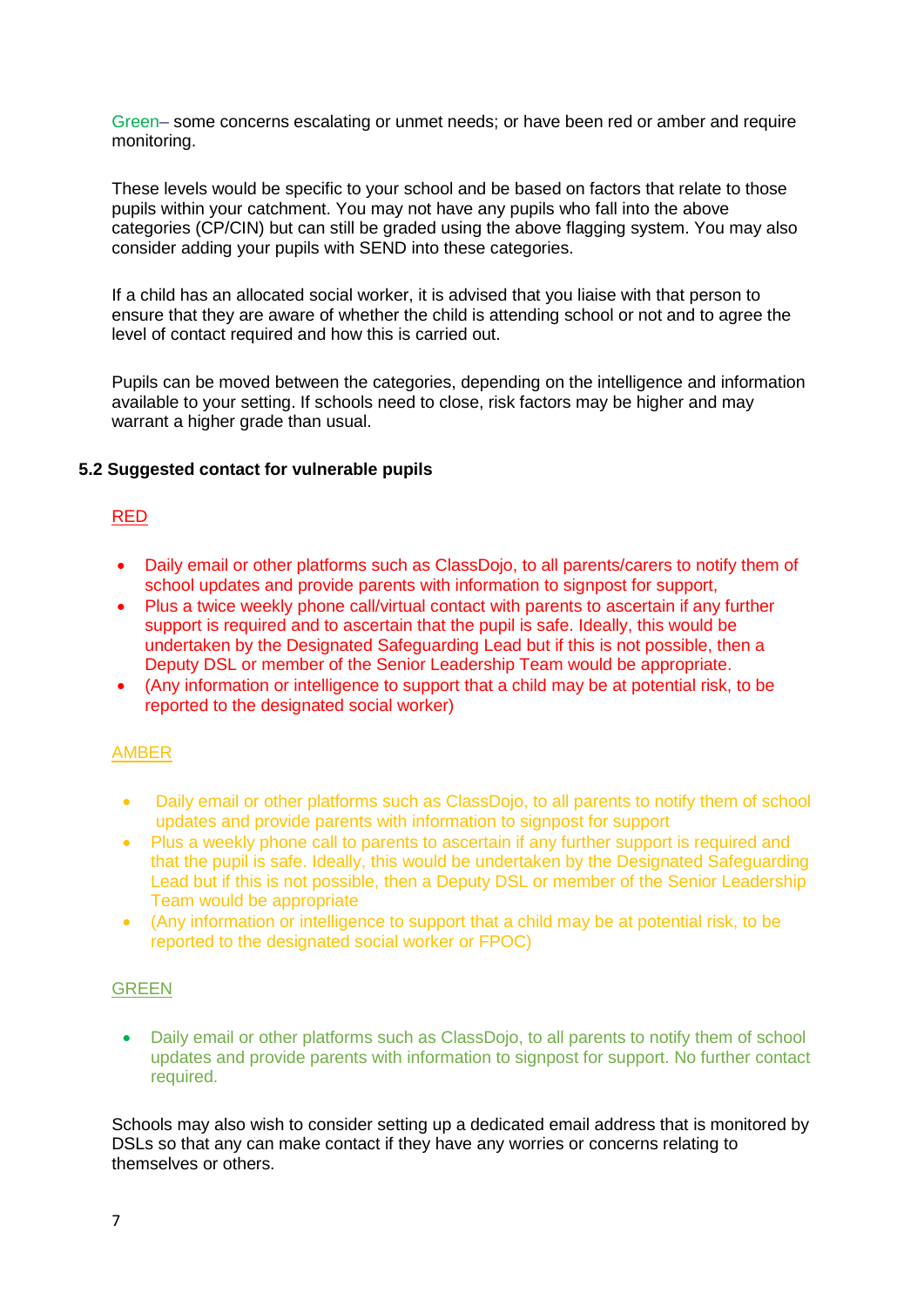Green– some concerns escalating or unmet needs; or have been red or amber and require monitoring.

These levels would be specific to your school and be based on factors that relate to those pupils within your catchment. You may not have any pupils who fall into the above categories (CP/CIN) but can still be graded using the above flagging system. You may also consider adding your pupils with SEND into these categories.

If a child has an allocated social worker, it is advised that you liaise with that person to ensure that they are aware of whether the child is attending school or not and to agree the level of contact required and how this is carried out.

Pupils can be moved between the categories, depending on the intelligence and information available to your setting. If schools need to close, risk factors may be higher and may warrant a higher grade than usual.

#### **5.2 Suggested contact for vulnerable pupils**

# RED

- Daily email or other platforms such as ClassDojo, to all parents/carers to notify them of school updates and provide parents with information to signpost for support,
- Plus a twice weekly phone call/virtual contact with parents to ascertain if any further support is required and to ascertain that the pupil is safe. Ideally, this would be undertaken by the Designated Safeguarding Lead but if this is not possible, then a Deputy DSL or member of the Senior Leadership Team would be appropriate.
- (Any information or intelligence to support that a child may be at potential risk, to be reported to the designated social worker)

# AMBER

- Daily email or other platforms such as ClassDojo, to all parents to notify them of school updates and provide parents with information to signpost for support
- Plus a weekly phone call to parents to ascertain if any further support is required and that the pupil is safe. Ideally, this would be undertaken by the Designated Safeguarding Lead but if this is not possible, then a Deputy DSL or member of the Senior Leadership Team would be appropriate
- (Any information or intelligence to support that a child may be at potential risk, to be reported to the designated social worker or FPOC)

#### GREEN

 Daily email or other platforms such as ClassDojo, to all parents to notify them of school updates and provide parents with information to signpost for support. No further contact required.

Schools may also wish to consider setting up a dedicated email address that is monitored by DSLs so that any can make contact if they have any worries or concerns relating to themselves or others.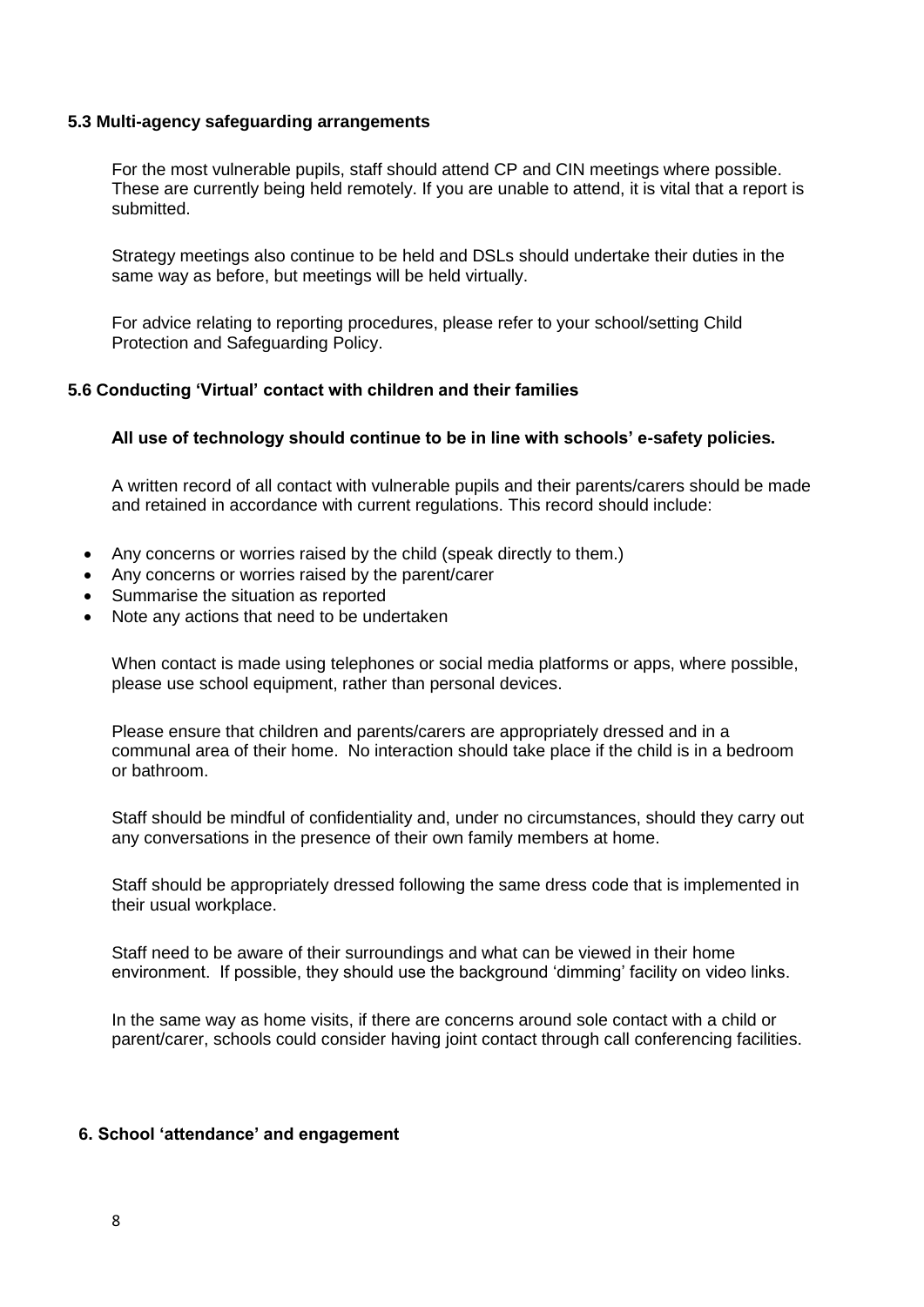#### **5.3 Multi-agency safeguarding arrangements**

For the most vulnerable pupils, staff should attend CP and CIN meetings where possible. These are currently being held remotely. If you are unable to attend, it is vital that a report is submitted.

Strategy meetings also continue to be held and DSLs should undertake their duties in the same way as before, but meetings will be held virtually.

For advice relating to reporting procedures, please refer to your school/setting Child Protection and Safeguarding Policy.

#### **5.6 Conducting 'Virtual' contact with children and their families**

#### **All use of technology should continue to be in line with schools' e-safety policies.**

A written record of all contact with vulnerable pupils and their parents/carers should be made and retained in accordance with current regulations. This record should include:

- Any concerns or worries raised by the child (speak directly to them.)
- Any concerns or worries raised by the parent/carer
- Summarise the situation as reported
- Note any actions that need to be undertaken

When contact is made using telephones or social media platforms or apps, where possible, please use school equipment, rather than personal devices.

Please ensure that children and parents/carers are appropriately dressed and in a communal area of their home. No interaction should take place if the child is in a bedroom or bathroom.

Staff should be mindful of confidentiality and, under no circumstances, should they carry out any conversations in the presence of their own family members at home.

Staff should be appropriately dressed following the same dress code that is implemented in their usual workplace.

Staff need to be aware of their surroundings and what can be viewed in their home environment. If possible, they should use the background 'dimming' facility on video links.

In the same way as home visits, if there are concerns around sole contact with a child or parent/carer, schools could consider having joint contact through call conferencing facilities.

#### **6. School 'attendance' and engagement**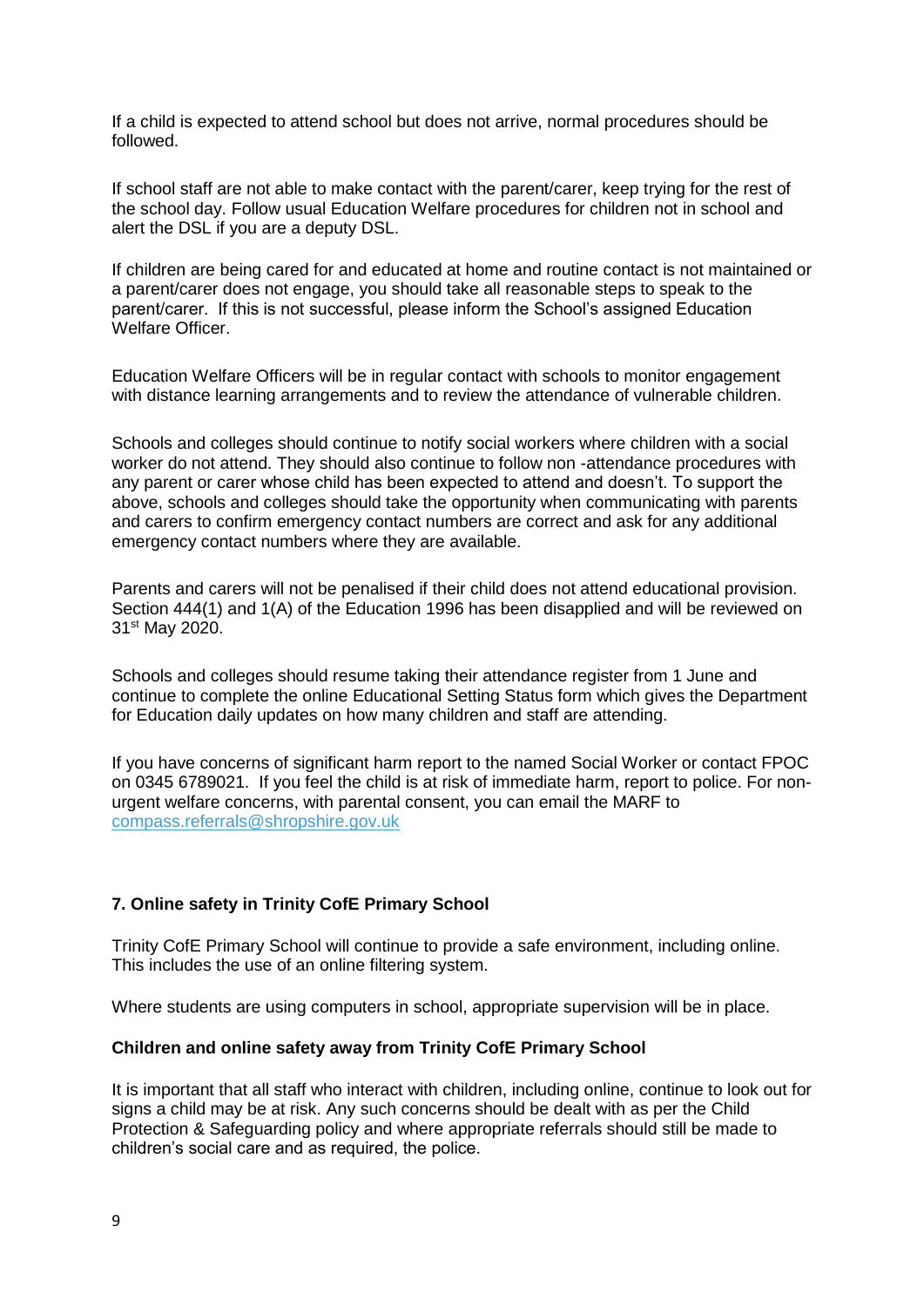If a child is expected to attend school but does not arrive, normal procedures should be followed.

If school staff are not able to make contact with the parent/carer, keep trying for the rest of the school day. Follow usual Education Welfare procedures for children not in school and alert the DSL if you are a deputy DSL.

If children are being cared for and educated at home and routine contact is not maintained or a parent/carer does not engage, you should take all reasonable steps to speak to the parent/carer. If this is not successful, please inform the School's assigned Education Welfare Officer.

Education Welfare Officers will be in regular contact with schools to monitor engagement with distance learning arrangements and to review the attendance of vulnerable children.

Schools and colleges should continue to notify social workers where children with a social worker do not attend. They should also continue to follow non -attendance procedures with any parent or carer whose child has been expected to attend and doesn't. To support the above, schools and colleges should take the opportunity when communicating with parents and carers to confirm emergency contact numbers are correct and ask for any additional emergency contact numbers where they are available.

Parents and carers will not be penalised if their child does not attend educational provision. Section 444(1) and 1(A) of the Education 1996 has been disapplied and will be reviewed on 31<sup>st</sup> May 2020.

Schools and colleges should resume taking their attendance register from 1 June and continue to complete the online Educational Setting Status form which gives the Department for Education daily updates on how many children and staff are attending.

If you have concerns of significant harm report to the named Social Worker or contact FPOC on 0345 6789021. If you feel the child is at risk of immediate harm, report to police. For nonurgent welfare concerns, with parental consent, you can email the MARF to [compass.referrals@shropshire.gov.uk](mailto:compass.referrals@shropshire.gov.uk)

# **7. Online safety in Trinity CofE Primary School**

Trinity CofE Primary School will continue to provide a safe environment, including online. This includes the use of an online filtering system.

Where students are using computers in school, appropriate supervision will be in place.

# **Children and online safety away from Trinity CofE Primary School**

It is important that all staff who interact with children, including online, continue to look out for signs a child may be at risk. Any such concerns should be dealt with as per the Child Protection & Safeguarding policy and where appropriate referrals should still be made to children's social care and as required, the police.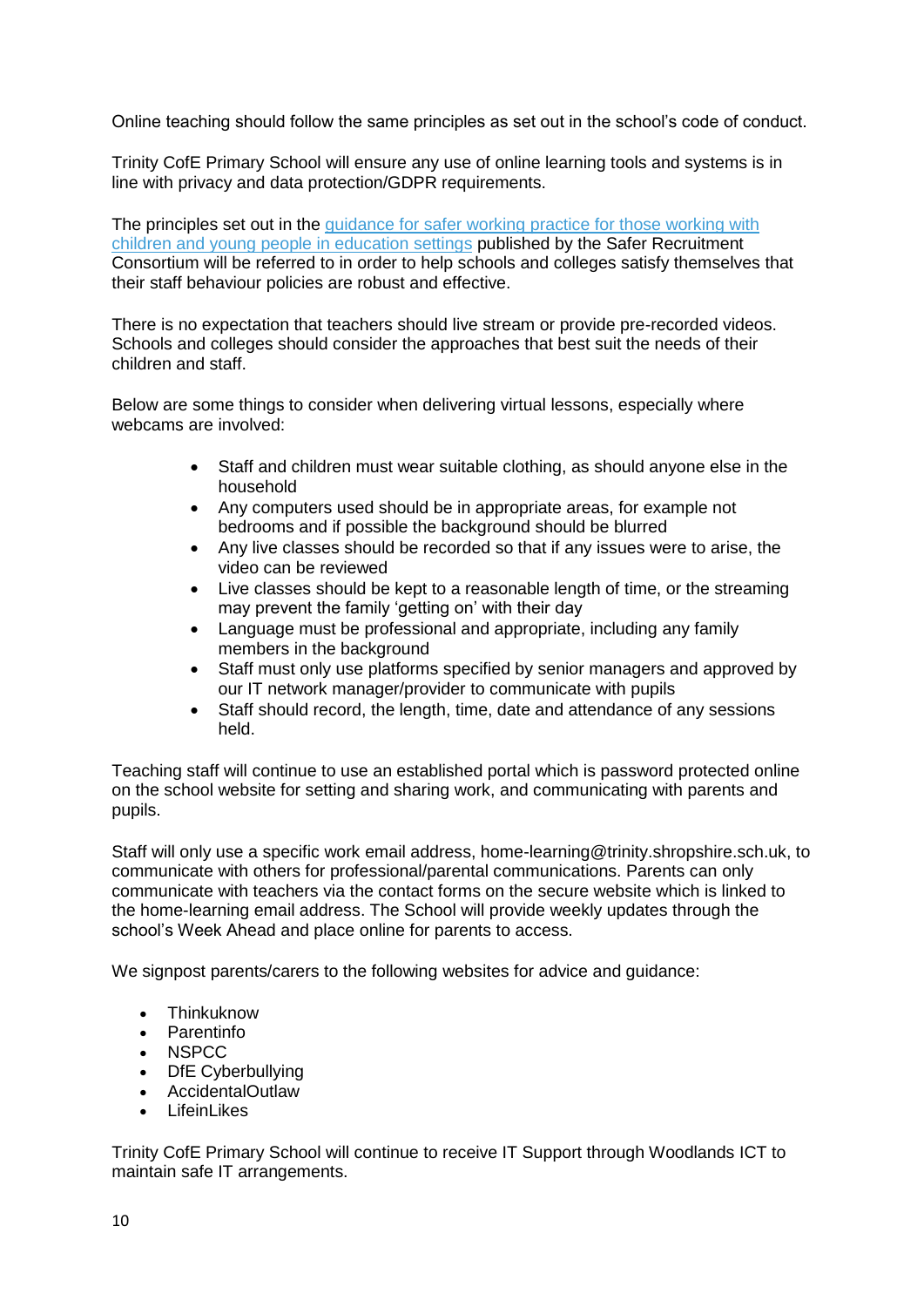Online teaching should follow the same principles as set out in the school's code of conduct.

Trinity CofE Primary School will ensure any use of online learning tools and systems is in line with privacy and data protection/GDPR requirements.

The principles set out in the quidance for safer working practice for those working with [children and young people in education settings](https://www.saferrecruitmentconsortium.org/) published by the Safer Recruitment Consortium will be referred to in order to help schools and colleges satisfy themselves that their staff behaviour policies are robust and effective.

There is no expectation that teachers should live stream or provide pre-recorded videos. Schools and colleges should consider the approaches that best suit the needs of their children and staff.

Below are some things to consider when delivering virtual lessons, especially where webcams are involved:

- Staff and children must wear suitable clothing, as should anyone else in the household
- Any computers used should be in appropriate areas, for example not bedrooms and if possible the background should be blurred
- Any live classes should be recorded so that if any issues were to arise, the video can be reviewed
- Live classes should be kept to a reasonable length of time, or the streaming may prevent the family 'getting on' with their day
- Language must be professional and appropriate, including any family members in the background
- Staff must only use platforms specified by senior managers and approved by our IT network manager/provider to communicate with pupils
- Staff should record, the length, time, date and attendance of any sessions held.

Teaching staff will continue to use an established portal which is password protected online on the school website for setting and sharing work, and communicating with parents and pupils.

Staff will only use a specific work email address, home-learning@trinity.shropshire.sch.uk, to communicate with others for professional/parental communications. Parents can only communicate with teachers via the contact forms on the secure website which is linked to the home-learning email address. The School will provide weekly updates through the school's Week Ahead and place online for parents to access.

We signpost parents/carers to the following websites for advice and guidance:

- **•** [Thinkuknow](http://www.thinkuknow.co.uk/)
- [Parentinfo](https://parentinfo.org/)
- NSPCC
- DfE Cyberbullying
- AccidentalOutlaw
- LifeinLikes

Trinity CofE Primary School will continue to receive IT Support through Woodlands ICT to maintain safe IT arrangements.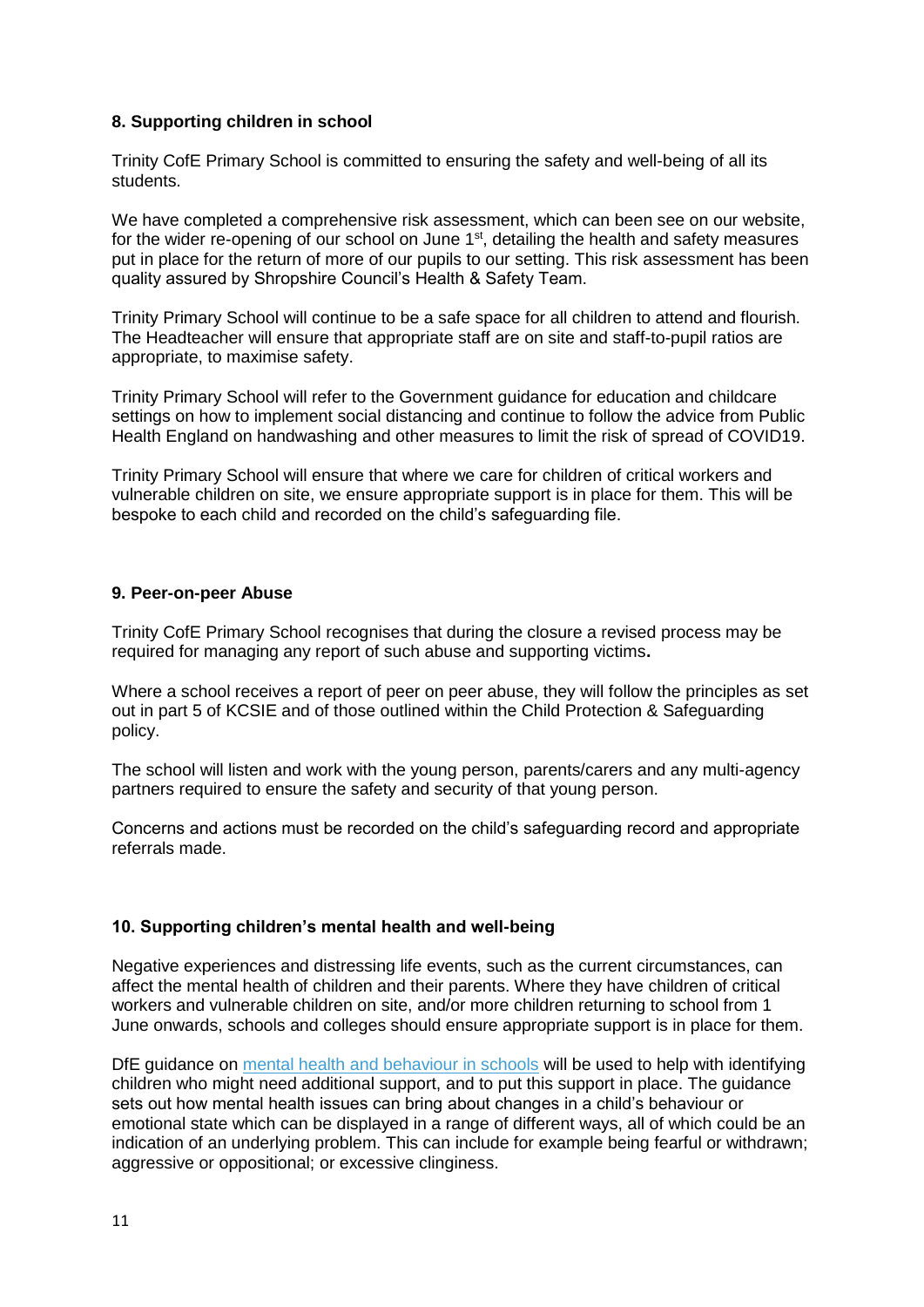# **8. Supporting children in school**

Trinity CofE Primary School is committed to ensuring the safety and well-being of all its students.

We have completed a comprehensive risk assessment, which can been see on our website, for the wider re-opening of our school on June 1<sup>st</sup>, detailing the health and safety measures put in place for the return of more of our pupils to our setting. This risk assessment has been quality assured by Shropshire Council's Health & Safety Team.

Trinity Primary School will continue to be a safe space for all children to attend and flourish. The Headteacher will ensure that appropriate staff are on site and staff-to-pupil ratios are appropriate, to maximise safety.

Trinity Primary School will refer to the Government guidance for education and childcare settings on how to implement social distancing and continue to follow the advice from Public Health England on handwashing and other measures to limit the risk of spread of COVID19.

Trinity Primary School will ensure that where we care for children of critical workers and vulnerable children on site, we ensure appropriate support is in place for them. This will be bespoke to each child and recorded on the child's safeguarding file.

#### **9. Peer-on-peer Abuse**

Trinity CofE Primary School recognises that during the closure a revised process may be required for managing any report of such abuse and supporting victims**.** 

Where a school receives a report of peer on peer abuse, they will follow the principles as set out in part 5 of KCSIE and of those outlined within the Child Protection & Safeguarding policy.

The school will listen and work with the young person, parents/carers and any multi-agency partners required to ensure the safety and security of that young person.

Concerns and actions must be recorded on the child's safeguarding record and appropriate referrals made.

# **10. Supporting children's mental health and well-being**

Negative experiences and distressing life events, such as the current circumstances, can affect the mental health of children and their parents. Where they have children of critical workers and vulnerable children on site, and/or more children returning to school from 1 June onwards, schools and colleges should ensure appropriate support is in place for them.

DfE guidance on [mental health and behaviour in schools](https://www.gov.uk/government/publications/mental-health-and-behaviour-in-schools--2) will be used to help with identifying children who might need additional support, and to put this support in place. The guidance sets out how mental health issues can bring about changes in a child's behaviour or emotional state which can be displayed in a range of different ways, all of which could be an indication of an underlying problem. This can include for example being fearful or withdrawn; aggressive or oppositional; or excessive clinginess.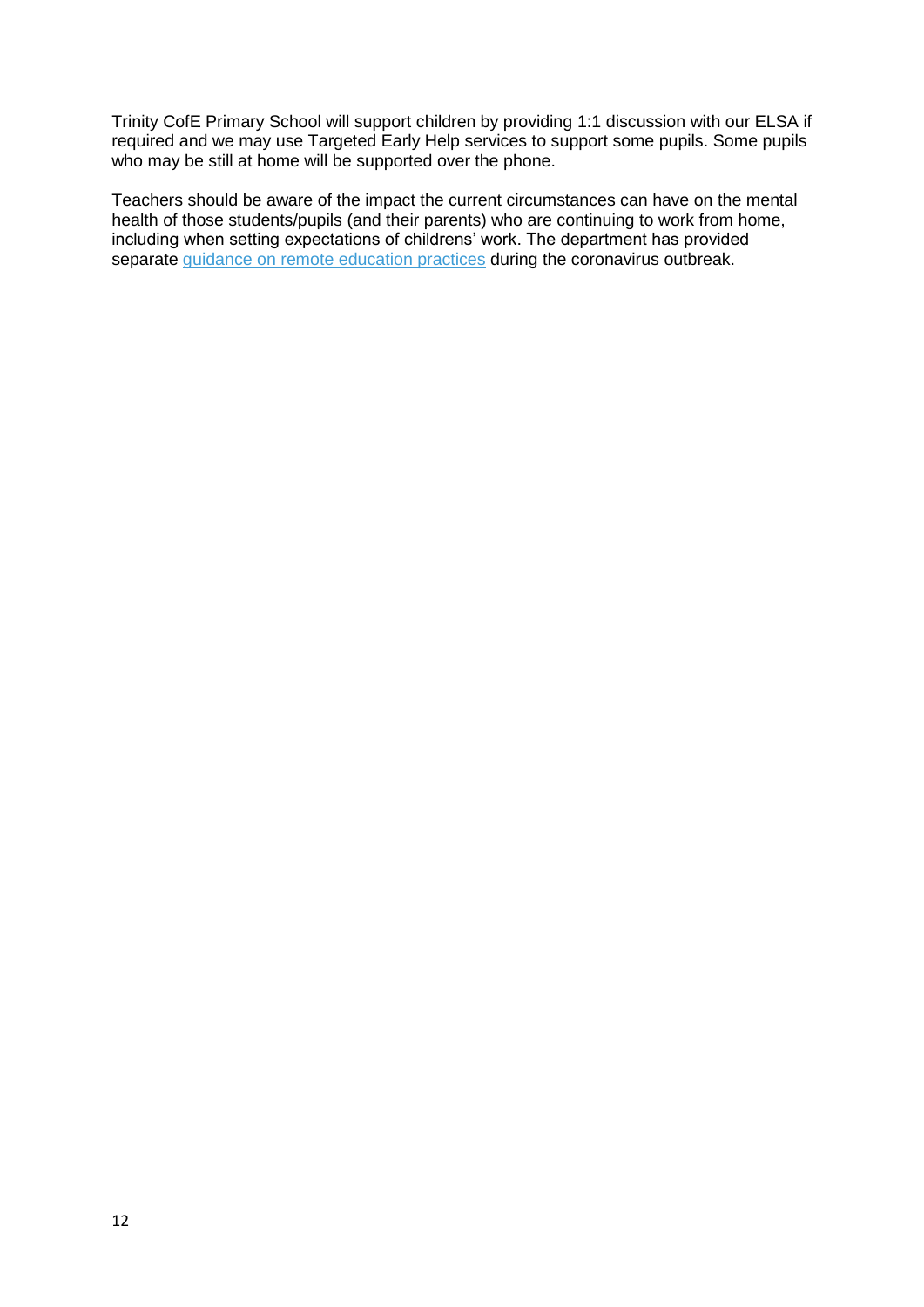Trinity CofE Primary School will support children by providing 1:1 discussion with our ELSA if required and we may use Targeted Early Help services to support some pupils. Some pupils who may be still at home will be supported over the phone.

Teachers should be aware of the impact the current circumstances can have on the mental health of those students/pupils (and their parents) who are continuing to work from home, including when setting expectations of childrens' work. The department has provided separate [guidance on remote education practices](https://www.gov.uk/guidance/remote-education-practice-for-schools-during-coronavirus-covid-19) during the coronavirus outbreak.